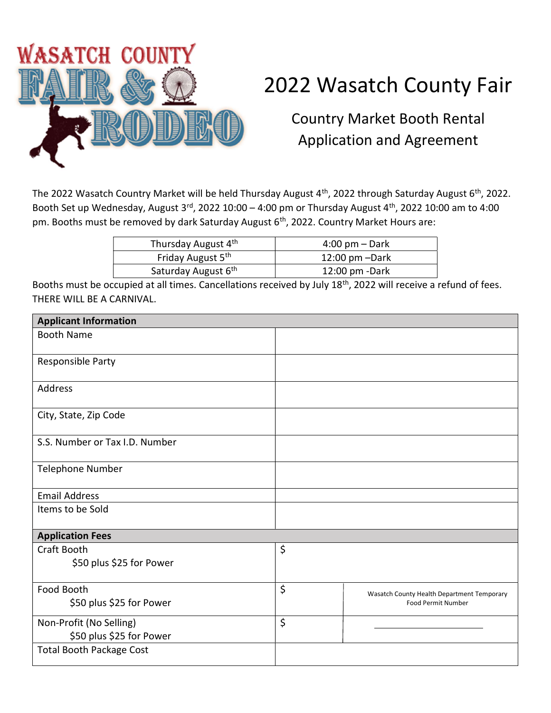

## 2022 Wasatch County Fair

Country Market Booth Rental Application and Agreement

The 2022 Wasatch Country Market will be held Thursday August 4<sup>th</sup>, 2022 through Saturday August 6<sup>th</sup>, 2022. Booth Set up Wednesday, August  $3^{rd}$ , 2022 10:00 – 4:00 pm or Thursday August  $4^{th}$ , 2022 10:00 am to 4:00 pm. Booths must be removed by dark Saturday August 6<sup>th</sup>, 2022. Country Market Hours are:

| Thursday August 4th             | $4:00 \text{ pm} - \text{Dark}$                                                                                 |
|---------------------------------|-----------------------------------------------------------------------------------------------------------------|
| Friday August 5th               | $12:00$ pm $-Dark$                                                                                              |
| Saturday August 6 <sup>th</sup> | $12:00$ pm -Dark                                                                                                |
|                                 | the contract of the contract of the contract of the contract of the contract of the contract of the contract of |

Booths must be occupied at all times. Cancellations received by July 18<sup>th</sup>, 2022 will receive a refund of fees. THERE WILL BE A CARNIVAL.

| <b>Applicant Information</b>                        |                                                                               |  |  |  |
|-----------------------------------------------------|-------------------------------------------------------------------------------|--|--|--|
| <b>Booth Name</b>                                   |                                                                               |  |  |  |
| Responsible Party                                   |                                                                               |  |  |  |
| Address                                             |                                                                               |  |  |  |
| City, State, Zip Code                               |                                                                               |  |  |  |
| S.S. Number or Tax I.D. Number                      |                                                                               |  |  |  |
| <b>Telephone Number</b>                             |                                                                               |  |  |  |
| <b>Email Address</b>                                |                                                                               |  |  |  |
| Items to be Sold                                    |                                                                               |  |  |  |
| <b>Application Fees</b>                             |                                                                               |  |  |  |
| Craft Booth<br>\$50 plus \$25 for Power             | \$                                                                            |  |  |  |
| Food Booth<br>\$50 plus \$25 for Power              | \$<br>Wasatch County Health Department Temporary<br><b>Food Permit Number</b> |  |  |  |
| Non-Profit (No Selling)<br>\$50 plus \$25 for Power | \$                                                                            |  |  |  |
| <b>Total Booth Package Cost</b>                     |                                                                               |  |  |  |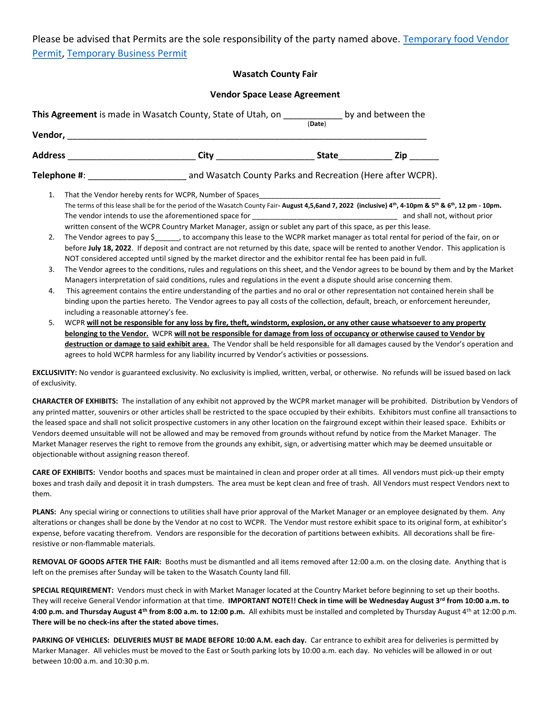Please be advised that Permits are the sole responsibility of the party named above. Temporary food Vendor Permit, Temporary Business Permit

## Wasatch County Fair

| <b>Vendor Space Lease Agreement</b> |  |                                                                                                                                                                                                                                                                                                                                                                                                    |        |  |  |
|-------------------------------------|--|----------------------------------------------------------------------------------------------------------------------------------------------------------------------------------------------------------------------------------------------------------------------------------------------------------------------------------------------------------------------------------------------------|--------|--|--|
|                                     |  | This Agreement is made in Wasatch County, State of Utah, on _____________ by and between the                                                                                                                                                                                                                                                                                                       | (Date) |  |  |
|                                     |  |                                                                                                                                                                                                                                                                                                                                                                                                    |        |  |  |
|                                     |  |                                                                                                                                                                                                                                                                                                                                                                                                    |        |  |  |
|                                     |  | <b>Telephone #:</b> The act of the act of the act of the act of the act of the after work, and Wasatch County Parks and Recreation (Here after WCPR).                                                                                                                                                                                                                                              |        |  |  |
| 1.                                  |  | The terms of this lease shall be for the period of the Wasatch County Fair- August 4,5,6and 7, 2022 (inclusive) 4th, 4-10pm & 5th & 6th, 12 pm - 10pm.<br>written consent of the WCPR Country Market Manager, assign or sublet any part of this space, as per this lease.                                                                                                                          |        |  |  |
| 2.                                  |  | The Vendor agrees to pay \$______, to accompany this lease to the WCPR market manager as total rental for period of the fair, on or<br>before July 18, 2022. If deposit and contract are not returned by this date, space will be rented to another Vendor. This application is<br>NOT considered accepted until signed by the market director and the exhibitor rental fee has been paid in full. |        |  |  |

## 3. The Vendor agrees to the conditions, rules and regulations on this sheet, and the Vendor agrees to be bound by them and by the Market Managers interpretation of said conditions, rules and regulations in the event a dispute should arise concerning them.

- 4. This agreement contains the entire understanding of the parties and no oral or other representation not contained herein shall be binding upon the parties hereto. The Vendor agrees to pay all costs of the collection, default, breach, or enforcement hereunder, including a reasonable attorney's fee.
- 5. WCPR will not be responsible for any loss by fire, theft, windstorm, explosion, or any other cause whatsoever to any property belonging to the Vendor. WCPR will not be responsible for damage from loss of occupancy or otherwise caused to Vendor by destruction or damage to said exhibit area. The Vendor shall be held responsible for all damages caused by the Vendor's operation and agrees to hold WCPR harmless for any liability incurred by Vendor's activities or possessions.

EXCLUSIVITY: No vendor is guaranteed exclusivity. No exclusivity is implied, written, verbal, or otherwise. No refunds will be issued based on lack of exclusivity.

CHARACTER OF EXHIBITS: The installation of any exhibit not approved by the WCPR market manager will be prohibited. Distribution by Vendors of any printed matter, souvenirs or other articles shall be restricted to the space occupied by their exhibits. Exhibitors must confine all transactions to the leased space and shall not solicit prospective customers in any other location on the fairground except within their leased space. Exhibits or Vendors deemed unsuitable will not be allowed and may be removed from grounds without refund by notice from the Market Manager. The Market Manager reserves the right to remove from the grounds any exhibit, sign, or advertising matter which may be deemed unsuitable or objectionable without assigning reason thereof.

CARE OF EXHIBITS: Vendor booths and spaces must be maintained in clean and proper order at all times. All vendors must pick-up their empty boxes and trash daily and deposit it in trash dumpsters. The area must be kept clean and free of trash. All Vendors must respect Vendors next to them.

PLANS: Any special wiring or connections to utilities shall have prior approval of the Market Manager or an employee designated by them. Any alterations or changes shall be done by the Vendor at no cost to WCPR. The Vendor must restore exhibit space to its original form, at exhibitor's expense, before vacating therefrom. Vendors are responsible for the decoration of partitions between exhibits. All decorations shall be fireresistive or non-flammable materials.

REMOVAL OF GOODS AFTER THE FAIR: Booths must be dismantled and all items removed after 12:00 a.m. on the closing date. Anything that is left on the premises after Sunday will be taken to the Wasatch County land fill.

SPECIAL REQUIREMENT: Vendors must check in with Market Manager located at the Country Market before beginning to set up their booths. They will receive General Vendor information at that time. IMPORTANT NOTE!! Check in time will be Wednesday August 3rd from 10:00 a.m. to 4:00 p.m. and Thursday August 4<sup>th</sup> from 8:00 a.m. to 12:00 p.m. All exhibits must be installed and completed by Thursday August 4<sup>th</sup> at 12:00 p.m. There will be no check-ins after the stated above times.

PARKING OF VEHICLES: DELIVERIES MUST BE MADE BEFORE 10:00 A.M. each day. Car entrance to exhibit area for deliveries is permitted by Marker Manager. All vehicles must be moved to the East or South parking lots by 10:00 a.m. each day. No vehicles will be allowed in or out between 10:00 a.m. and 10:30 p.m.